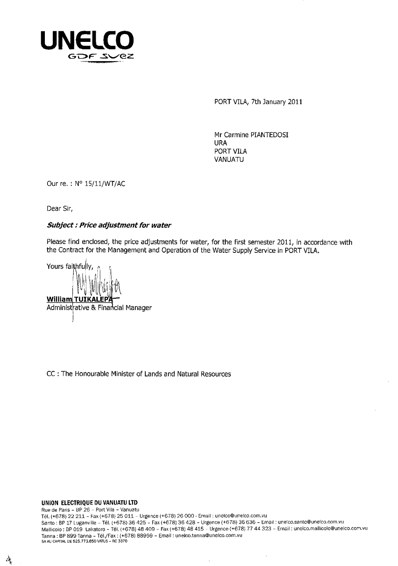

PORT VILA, 7th January 2011

Mr Carmine PIANTEDOSI URA PORT VILA VANUATU

Our re. : N° 15/11/WT/AC

Dear Sir,

### **Subject : Price adjustment for water**

Please find enclosed, the price adjustments for water, for the first semester 2011, in accordance with the Contract for the Management and Operation of the Water Supply Service in PORT VILA.

Yours faithfully, **William TUIKALEP**  Administrative & Financial Manager 1 E 1 E 1 A, Lir .15'

CC : The Honourable Minister of Lands and Natural Resources

**UNION ELECTRIQUE DU VANUATU LTD** 

Ą,

Rue de Paris - BP 26 - Port Vila - Vanuatu Tel. (+678) 22 211 - Fax (+678) 25 011 - Urgence (+678) 26 000 - Email : unelco@unelco.com.vu Santo BP 17 LuganvIlie - Tel. (+678) 36 425 - Fax (+678) 36 428 - Urgence (+678) 36 636 - Email : unelco.santo@unelco.com.vu Mallicolo : BP 019 Lakatoro - Tel. (+678) 48 409 - Fax (+678) 48 415 - Urgence (+678)77 44 323 - Email : unelco.mallicolo@unelco.com.vu Tanna : BP 899 Tanna - Tel./Fax : (+678) 88959 - Email : uneico.tanna@unelco.com.vu SA All CAPITAL DE 525.773.650 VATIJS - RC 3370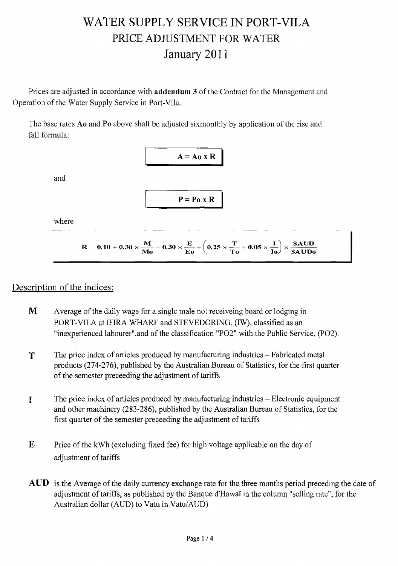# WATER SUPPLY SERVICE IN PORT-VILA PRICE ADJUSTMENT FOR WATER January 2011

Prices are adjusted in accordance with **addendum 3** of the Contract for the Management and Operation of the Water Supply Service in Port-Vila.

The base rates Ao and Po above shall be adjusted sixmonthly by application of the rise and fall formula:



## Description of the indices:

- M Average of the daily wage for a single male not receiveing board or lodging in PORT-VILA at IFIRA WHARF and STEVEDORING, (IW), classified as an "inexperienced labourer",and of the classification "P02" with the Public Service, (P02).
- $T$  The price index of articles produced by manufacturing industries Fabricated metal products (274-276), published by the Australian Bureau of Statistics, for the first quarter of the semester preceeding the adjustment of tariffs
- The price index of articles produced by manufacturing industries Electronic equipment I and other machinery (283-286), published by the Australian Bureau of Statistics, for the first quarter of the semester preceeding the adjustment of tariffs
- $\mathbf{E}$  Price of the kWh (excluding fixed fee) for high voltage applicable on the day of adjustment of tariffs
- AUD is the Average of the daily currency exchange rate for the three months period preceding the date of adjustment of tariffs, as published by the Banque d'Hawai in the column "selling rate", for the Australian dollar (AUD) to Vatu in Vatu/AUD)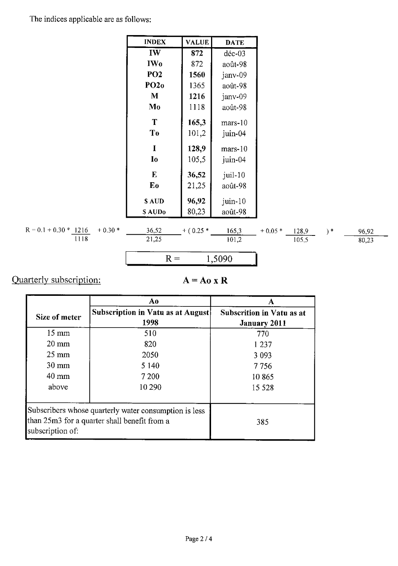The indices applicable are as follows:

**INDEX** 

|                                     | IW                         | 872            | $d$ éc-03          |          |       |       |       |
|-------------------------------------|----------------------------|----------------|--------------------|----------|-------|-------|-------|
|                                     | <b>IWo</b>                 | 872            | août-98            |          |       |       |       |
|                                     | PO <sub>2</sub>            | 1560           | janv-09            |          |       |       |       |
|                                     | PO2o                       | 1365           | août-98            |          |       |       |       |
|                                     | M                          | 1216           | janv-09            |          |       |       |       |
|                                     | Mo                         | 1118           | août-98            |          |       |       |       |
|                                     | T<br>T <sub>0</sub>        | 165,3<br>101,2 | $mars-10$          |          |       |       |       |
|                                     |                            |                | juin-04            |          |       |       |       |
|                                     | $\mathbf I$                | 128,9          | $mars-10$          |          |       |       |       |
|                                     | I <sub>0</sub>             | 105,5          | juin-04            |          |       |       |       |
|                                     | ${\bf E}$                  | 36,52          | juil-10            |          |       |       |       |
|                                     | Eo                         | 21,25          | août-98            |          |       |       |       |
|                                     | \$AUD<br>SAUD <sub>0</sub> | 96,92<br>80,23 | juin-10<br>août-98 |          |       |       |       |
|                                     |                            |                |                    |          |       |       |       |
| $R = 0.1 + 0.30 * 1216$<br>$+0.30*$ | 36,52                      | $+ (0.25*)$    | 165,3              | $+0.05*$ | 128,9 | $) *$ | 96,92 |
| 1118                                | 21,25                      |                | 101,2              |          | 105,5 |       | 80,23 |
|                                     | $R =$                      |                | 1,5090             |          |       |       |       |
|                                     |                            |                |                    |          |       |       |       |

**VALUE** 

**DATE** 

# Quarterly subscription:

 $A = A_0 x R$ 

|                  | Aο                                                                                                    | Α                                                       |
|------------------|-------------------------------------------------------------------------------------------------------|---------------------------------------------------------|
| Size of meter    | Subscription in Vatu as at August<br>1998                                                             | <b>Subscrition in Vatu as at</b><br><b>January 2011</b> |
| $15 \text{ mm}$  | 510                                                                                                   | 770                                                     |
| $20 \text{ mm}$  | 820                                                                                                   | 1 2 3 7                                                 |
| $25 \text{ mm}$  | 2050                                                                                                  | 3 0 9 3                                                 |
| $30 \text{ mm}$  | 5 1 4 0                                                                                               | 7 7 5 6                                                 |
| $40 \text{ mm}$  | 7 200                                                                                                 | 10865                                                   |
| above            | 10 290                                                                                                | 15 5 28                                                 |
| subscription of: | Subscribers whose quarterly water consumption is less<br>than 25m3 for a quarter shall benefit from a | 385                                                     |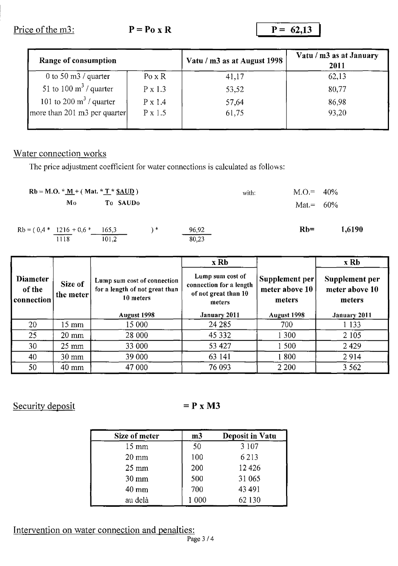Price of the m3: **P** = **Po** x **R P** = 62,13

| Range of consumption             |                           | Vatu / m3 as at August 1998 | Vatu / m3 as at January<br>2011 |  |
|----------------------------------|---------------------------|-----------------------------|---------------------------------|--|
| 0 to 50 m3 / quarter             | $Po \times R$             | 41,17                       | 62,13                           |  |
| 51 to 100 $\text{m}^3$ / quarter | $P \times 1.3$            | 53,52                       | 80,77                           |  |
| 101 to 200 $m3$ / quarter        | P x 1.4<br>$P \times 1.5$ | 57,64                       | 86,98                           |  |
| more than 201 m3 per quarter     |                           | 61,75                       | 93,20                           |  |

## Water connection works

The price adjustment coefficient for water connections is calculated as follows:

|                                      | Rb = M.O. $*$ <u>M</u> + (Mat. $*$ <u>T</u> $*$ <u>\$AUD</u> ) |    |       | with: | $M.O = 40\%$ |        |
|--------------------------------------|----------------------------------------------------------------|----|-------|-------|--------------|--------|
| Mo                                   | To SAUDo                                                       |    |       |       | Mat.= $60\%$ |        |
| $Rb = (0, 4 * 1216 + 0, 6 * 165, 3)$ |                                                                | \* | 96,92 |       | $Rb=$        | 1,6190 |
| 1118                                 | 101.2                                                          |    | 80,23 |       |              |        |

|                                         |                      |                                                                            | x Rb                                                                          |                                            | x Rb                                       |
|-----------------------------------------|----------------------|----------------------------------------------------------------------------|-------------------------------------------------------------------------------|--------------------------------------------|--------------------------------------------|
| <b>Diameter</b><br>of the<br>connection | Size of<br>the meter | Lump sum cost of connection<br>for a length of not great than<br>10 meters | Lump sum cost of<br>connection for a length<br>of not great than 10<br>meters | Supplement per<br>meter above 10<br>meters | Supplement per<br>meter above 10<br>meters |
|                                         |                      | August 1998                                                                | January 2011                                                                  | August 1998                                | January 2011                               |
| 20                                      | 15 mm                | 15 000                                                                     | 24 2 8 5                                                                      | 700                                        | 1 1 3 3                                    |
| 25                                      | $20 \text{ mm}$      | 28 000                                                                     | 45 3 32                                                                       | 1 300                                      | 2 1 0 5                                    |
| 30                                      | $25 \text{ mm}$      | 33 000                                                                     | 53 427                                                                        | 1 500                                      | 2429                                       |
| 40                                      | $30 \text{ mm}$      | 39 000                                                                     | 63 141                                                                        | 1800                                       | 2914                                       |
| 50                                      | 40 mm                | 47 000                                                                     | 76 093                                                                        | 2 2 0 0                                    | 3 5 6 2                                    |

Security deposit  $= P \times M3$ 

| Size of meter   | m <sub>3</sub> | <b>Deposit in Vatu</b> |
|-----------------|----------------|------------------------|
| $15 \text{ mm}$ | 50             | 3 1 0 7                |
| $20 \text{ mm}$ | 100            | 6213                   |
| $25 \text{ mm}$ | 200            | 12426                  |
| $30 \text{ mm}$ | 500            | 31 065                 |
| $40 \text{ mm}$ | 700            | 43 491                 |
| au delà         | $1\ 000$       | 62 130                 |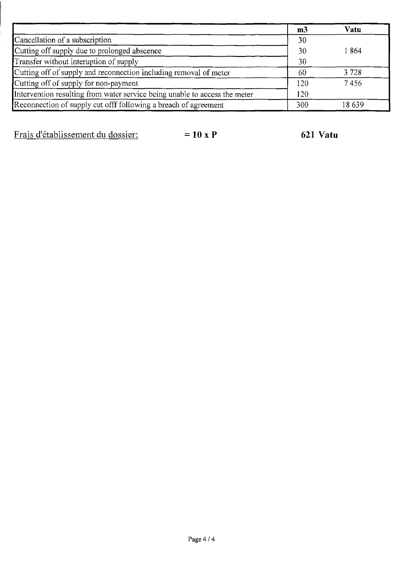|                                                                            | m <sub>3</sub> | Vatu  |
|----------------------------------------------------------------------------|----------------|-------|
| Cancellation of a subscription                                             | 30             |       |
| Cutting off supply due to prolonged abscence                               | 30             | 1864  |
| Transfer without interuption of supply                                     | 30             |       |
| Cutting off of supply and reconnection including removal of meter          | 60             | 3728  |
| Cutting off of supply for non-payment                                      | 120            | 7456  |
| Intervention resulting from water service being unable to access the meter | 120            |       |
| Reconnection of supply cut offf following a breach of agreement            | 300            | 18639 |

Frais d'établissement du dossier: = 10 x P 621 Vatu